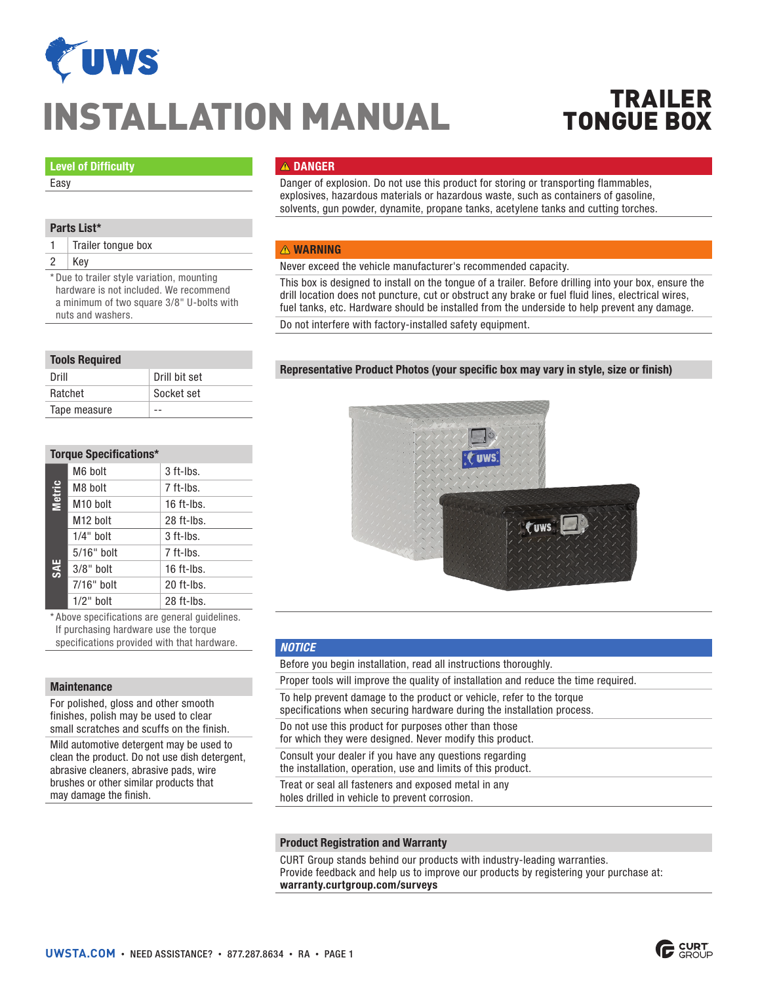

# INSTALLATION MANUAL

# TRAILER TONGUE BOX

#### Level of Difficulty

Easy

# Parts List\*

1 | Trailer tongue box

2 Key

\* Due to trailer style variation, mounting hardware is not included. We recommend a minimum of two square 3/8" U-bolts with nuts and washers.

#### Tools Required

| Drill        | Drill bit set |
|--------------|---------------|
| Ratchet      | Socket set    |
| Tape measure |               |

# Torque Specifications\*

|                      | M6 bolt              | 3 ft-lbs.    |
|----------------------|----------------------|--------------|
| <b>Metric</b><br>SAE | M8 bolt              | 7 ft-lbs.    |
|                      | M <sub>10</sub> bolt | $16$ ft-lbs. |
|                      | M <sub>12</sub> bolt | 28 ft-lbs.   |
|                      | $1/4"$ bolt          | $3$ ft-lbs.  |
|                      | 5/16" bolt           | 7 ft-lbs.    |
|                      | $3/8"$ bolt          | $16$ ft-lbs. |
|                      | $7/16"$ bolt         | 20 ft-lbs.   |
|                      | $1/2$ " bolt         | 28 ft-lbs.   |

\* Above specifications are general guidelines. If purchasing hardware use the torque specifications provided with that hardware.

### **Maintenance**

For polished, gloss and other smooth finishes, polish may be used to clear small scratches and scuffs on the finish.

Mild automotive detergent may be used to clean the product. Do not use dish detergent, abrasive cleaners, abrasive pads, wire brushes or other similar products that may damage the finish.

# **A DANGER**

Danger of explosion. Do not use this product for storing or transporting flammables, explosives, hazardous materials or hazardous waste, such as containers of gasoline, solvents, gun powder, dynamite, propane tanks, acetylene tanks and cutting torches.

#### **A** WARNING

Never exceed the vehicle manufacturer's recommended capacity.

This box is designed to install on the tongue of a trailer. Before drilling into your box, ensure the drill location does not puncture, cut or obstruct any brake or fuel fluid lines, electrical wires, fuel tanks, etc. Hardware should be installed from the underside to help prevent any damage.

Do not interfere with factory-installed safety equipment.

# Representative Product Photos (your specific box may vary in style, size or finish)



#### *NOTICE*

Before you begin installation, read all instructions thoroughly.

Proper tools will improve the quality of installation and reduce the time required.

To help prevent damage to the product or vehicle, refer to the torque specifications when securing hardware during the installation process.

Do not use this product for purposes other than those for which they were designed. Never modify this product.

Consult your dealer if you have any questions regarding the installation, operation, use and limits of this product.

Treat or seal all fasteners and exposed metal in any holes drilled in vehicle to prevent corrosion.

#### Product Registration and Warranty

CURT Group stands behind our products with industry-leading warranties. Provide feedback and help us to improve our products by registering your purchase at: warranty.curtgroup.com/surveys